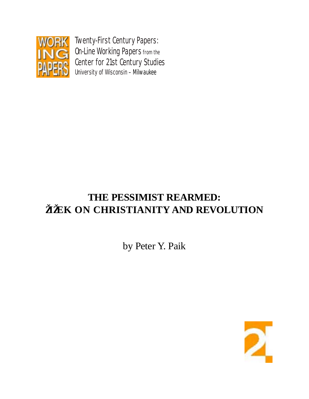

Twenty-First Century Papers: On-Line Working Papers from the Center for 21st Century Studies University of Wisconsin – Milwaukee

## **THE PESSIMIST REARMED: ŽIŽEK ON CHRISTIANITY AND REVOLUTION**

by Peter Y. Paik

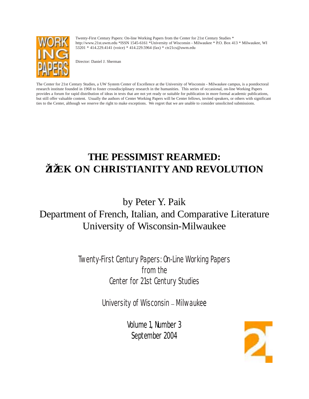

Twenty-First Century Papers: On-line Working Papers from the Center for 21st Century Studies \* http://www.21st.uwm.edu \*ISSN 1545-6161 \*University of Wisconsin - Milwaukee \* P.O. Box 413 \* Milwaukee, WI 53201 \* 414.229.4141 (voice) \* 414.229.5964 (fax) \* ctr21cs@uwm.edu

Director: Daniel J. Sherman

The Center for 21st Century Studies, a UW System Center of Excellence at the University of Wisconsin - Milwaukee campus, is a postdoctoral research institute founded in 1968 to foster crossdisciplinary research in the humanities. This series of occasional, on-line Working Papers provides a forum for rapid distribution of ideas in texts that are not yet ready or suitable for publication in more formal academic publications, but still offer valuable content. Usually the authors of Center Working Papers will be Center fellows, invited speakers, or others with significant ties to the Center, although we reserve the right to make exceptions. We regret that we are unable to consider unsolicited submissions.

## **THE PESSIMIST REARMED: ŽIŽEK ON CHRISTIANITY AND REVOLUTION**

## by Peter Y. Paik Department of French, Italian, and Comparative Literature University of Wisconsin-Milwaukee

Twenty-First Century Papers: On-Line Working Papers from the Center for 21st Century Studies

University of Wisconsin – Milwaukee

Volume 1, Number 3 September 2004

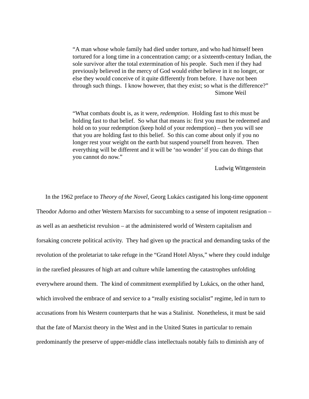"A man whose whole family had died under torture, and who had himself been tortured for a long time in a concentration camp; or a sixteenth-century Indian, the sole survivor after the total extermination of his people. Such men if they had previously believed in the mercy of God would either believe in it no longer, or else they would conceive of it quite differently from before. I have not been through such things. I know however, that they exist; so what is the difference?" Simone Weil

"What combats doubt is, as it were, *redemption*. Holding fast to *this* must be holding fast to that belief. So what that means is: first you must be redeemed and hold on to your redemption (keep hold of your redemption) – then you will see that you are holding fast to this belief. So this can come about only if you no longer rest your weight on the earth but suspend yourself from heaven. Then everything will be different and it will be 'no wonder' if you can do things that you cannot do now."

Ludwig Wittgenstein

In the 1962 preface to *Theory of the Novel*, Georg Lukács castigated his long-time opponent Theodor Adorno and other Western Marxists for succumbing to a sense of impotent resignation – as well as an aestheticist revulsion – at the administered world of Western capitalism and forsaking concrete political activity. They had given up the practical and demanding tasks of the revolution of the proletariat to take refuge in the "Grand Hotel Abyss," where they could indulge in the rarefied pleasures of high art and culture while lamenting the catastrophes unfolding everywhere around them. The kind of commitment exemplified by Lukács, on the other hand, which involved the embrace of and service to a "really existing socialist" regime, led in turn to accusations from his Western counterparts that he was a Stalinist. Nonetheless, it must be said that the fate of Marxist theory in the West and in the United States in particular to remain predominantly the preserve of upper-middle class intellectuals notably fails to diminish any of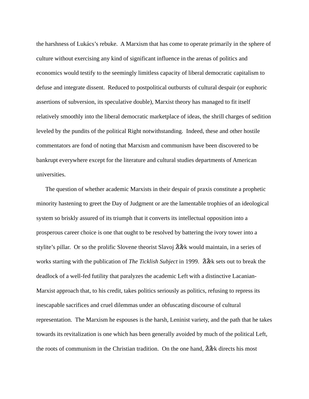the harshness of Lukács's rebuke. A Marxism that has come to operate primarily in the sphere of culture without exercising any kind of significant influence in the arenas of politics and economics would testify to the seemingly limitless capacity of liberal democratic capitalism to defuse and integrate dissent. Reduced to postpolitical outbursts of cultural despair (or euphoric assertions of subversion, its speculative double), Marxist theory has managed to fit itself relatively smoothly into the liberal democratic marketplace of ideas, the shrill charges of sedition leveled by the pundits of the political Right notwithstanding. Indeed, these and other hostile commentators are fond of noting that Marxism and communism have been discovered to be bankrupt everywhere except for the literature and cultural studies departments of American universities.

The question of whether academic Marxists in their despair of praxis constitute a prophetic minority hastening to greet the Day of Judgment or are the lamentable trophies of an ideological system so briskly assured of its triumph that it converts its intellectual opposition into a prosperous career choice is one that ought to be resolved by battering the ivory tower into a stylite's pillar. Or so the prolific Slovene theorist Slavoj ŽiŽek would maintain, in a series of works starting with the publication of *The Ticklish Subject* in 1999. ŽiŽek sets out to break the deadlock of a well-fed futility that paralyzes the academic Left with a distinctive Lacanian-Marxist approach that, to his credit, takes politics seriously as politics, refusing to repress its inescapable sacrifices and cruel dilemmas under an obfuscating discourse of cultural representation. The Marxism he espouses is the harsh, Leninist variety, and the path that he takes towards its revitalization is one which has been generally avoided by much of the political Left, the roots of communism in the Christian tradition. On the one hand,  $\Delta \tilde{\mathbf{z}}$  directs his most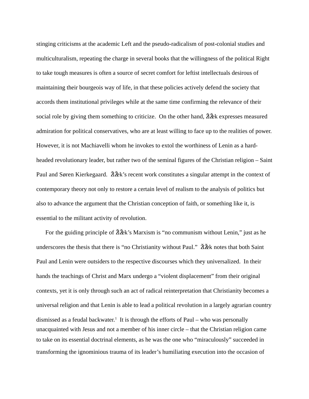stinging criticisms at the academic Left and the pseudo-radicalism of post-colonial studies and multiculturalism, repeating the charge in several books that the willingness of the political Right to take tough measures is often a source of secret comfort for leftist intellectuals desirous of maintaining their bourgeois way of life, in that these policies actively defend the society that accords them institutional privileges while at the same time confirming the relevance of their social role by giving them something to criticize. On the other hand,  $\Delta \times \mathbb{Z}$  expresses measured admiration for political conservatives, who are at least willing to face up to the realities of power. However, it is not Machiavelli whom he invokes to extol the worthiness of Lenin as a hardheaded revolutionary leader, but rather two of the seminal figures of the Christian religion – Saint Paul and Søren Kierkegaard.  $\tilde{\mathbf{Z}}$ k's recent work constitutes a singular attempt in the context of contemporary theory not only to restore a certain level of realism to the analysis of politics but also to advance the argument that the Christian conception of faith, or something like it, is essential to the militant activity of revolution.

For the guiding principle of  $\tilde{\mathbf{Z}}\tilde{\mathbf{Z}}\tilde{\mathbf{K}}$ 's Marxism is "no communism without Lenin," just as he underscores the thesis that there is "no Christianity without Paul."  $\check{\mathbf{Z}}$  and  $\check{\mathbf{Z}}$  notes that both Saint Paul and Lenin were outsiders to the respective discourses which they universalized. In their hands the teachings of Christ and Marx undergo a "violent displacement" from their original contexts, yet it is only through such an act of radical reinterpretation that Christianity becomes a universal religion and that Lenin is able to lead a political revolution in a largely agrarian country dismissed as a feudal backwater.<sup>1</sup> It is through the efforts of Paul – who was personally unacquainted with Jesus and not a member of his inner circle – that the Christian religion came to take on its essential doctrinal elements, as he was the one who "miraculously" succeeded in transforming the ignominious trauma of its leader's humiliating execution into the occasion of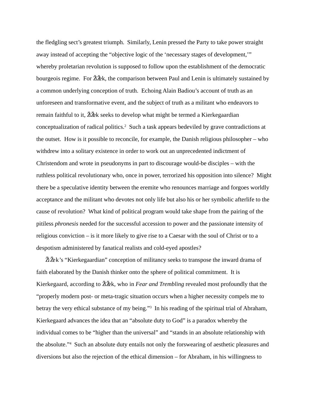the fledgling sect's greatest triumph. Similarly, Lenin pressed the Party to take power straight away instead of accepting the "objective logic of the 'necessary stages of development,'" whereby proletarian revolution is supposed to follow upon the establishment of the democratic bourgeois regime. For  $\tilde{\mathbf{Z}}\tilde{\mathbf{Z}}$ k, the comparison between Paul and Lenin is ultimately sustained by a common underlying conception of truth. Echoing Alain Badiou's account of truth as an unforeseen and transformative event, and the subject of truth as a militant who endeavors to remain faithful to it,  $\mathbf{\tilde{Z}}\mathbf{\tilde{Z}}$  seeks to develop what might be termed a Kierkegaardian conceptualization of radical politics.<sup>2</sup> Such a task appears bedeviled by grave contradictions at the outset. How is it possible to reconcile, for example, the Danish religious philosopher – who withdrew into a solitary existence in order to work out an unprecedented indictment of Christendom and wrote in pseudonyms in part to discourage would-be disciples – with the ruthless political revolutionary who, once in power, terrorized his opposition into silence? Might there be a speculative identity between the eremite who renounces marriage and forgoes worldly acceptance and the militant who devotes not only life but also his or her symbolic afterlife to the cause of revolution? What kind of political program would take shape from the pairing of the pitiless *phronesis* needed for the successful accession to power and the passionate intensity of religious conviction – is it more likely to give rise to a Caesar with the soul of Christ or to a despotism administered by fanatical realists and cold-eyed apostles?

 $Z\&K$ 's "Kierkegaardian" conception of militancy seeks to transpose the inward drama of faith elaborated by the Danish thinker onto the sphere of political commitment. It is Kierkegaard, according to  $\check{\mathbf{Z}}$  & k, who in *Fear and Trembling* revealed most profoundly that the "properly modern post- or meta-tragic situation occurs when a higher necessity compels me to betray the very ethical substance of my being."<sup>3</sup> In his reading of the spiritual trial of Abraham, Kierkegaard advances the idea that an "absolute duty to God" is a paradox whereby the individual comes to be "higher than the universal" and "stands in an absolute relationship with the absolute."4 Such an absolute duty entails not only the forswearing of aesthetic pleasures and diversions but also the rejection of the ethical dimension – for Abraham, in his willingness to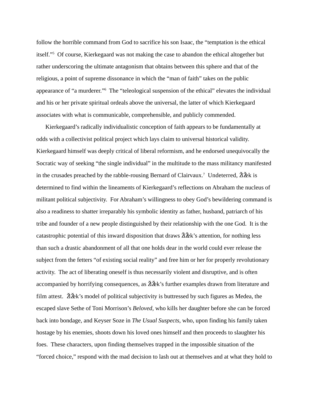follow the horrible command from God to sacrifice his son Isaac, the "temptation is the ethical itself."5 Of course, Kierkegaard was not making the case to abandon the ethical altogether but rather underscoring the ultimate antagonism that obtains between this sphere and that of the religious, a point of supreme dissonance in which the "man of faith" takes on the public appearance of "a murderer."6 The "teleological suspension of the ethical" elevates the individual and his or her private spiritual ordeals above the universal, the latter of which Kierkegaard associates with what is communicable, comprehensible, and publicly commended.

Kierkegaard's radically individualistic conception of faith appears to be fundamentally at odds with a collectivist political project which lays claim to universal historical validity. Kierkegaard himself was deeply critical of liberal reformism, and he endorsed unequivocally the Socratic way of seeking "the single individual" in the multitude to the mass militancy manifested in the crusades preached by the rabble-rousing Bernard of Clairvaux.<sup>7</sup> Undeterred,  $\mathbf{\tilde{Z}}\mathbf{\tilde{Z}}\mathbf{k}$  is determined to find within the lineaments of Kierkegaard's reflections on Abraham the nucleus of militant political subjectivity. For Abraham's willingness to obey God's bewildering command is also a readiness to shatter irreparably his symbolic identity as father, husband, patriarch of his tribe and founder of a new people distinguished by their relationship with the one God. It is the catastrophic potential of this inward disposition that draws  $\ddot{Z}$  attention, for nothing less than such a drastic abandonment of all that one holds dear in the world could ever release the subject from the fetters "of existing social reality" and free him or her for properly revolutionary activity. The act of liberating oneself is thus necessarily violent and disruptive, and is often accompanied by horrifying consequences, as  $\check{\gamma}$  and  $\check{\gamma}$  is further examples drawn from literature and film attest.  $\Delta \times$ 's model of political subjectivity is buttressed by such figures as Medea, the escaped slave Sethe of Toni Morrison's *Beloved*, who kills her daughter before she can be forced back into bondage, and Keyser Soze in *The Usual Suspects*, who, upon finding his family taken hostage by his enemies, shoots down his loved ones himself and then proceeds to slaughter his foes. These characters, upon finding themselves trapped in the impossible situation of the "forced choice," respond with the mad decision to lash out at themselves and at what they hold to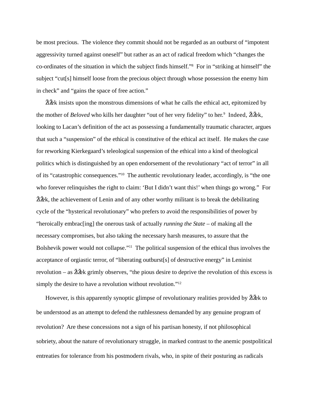be most precious. The violence they commit should not be regarded as an outburst of "impotent aggressivity turned against oneself" but rather as an act of radical freedom which "changes the co-ordinates of the situation in which the subject finds himself."8 For in "striking at himself" the subject "cut[s] himself loose from the precious object through whose possession the enemy him in check" and "gains the space of free action."

 $\Delta Z$  insists upon the monstrous dimensions of what he calls the ethical act, epitomized by the mother of *Beloved* who kills her daughter "out of her very fidelity" to her.<sup>9</sup> Indeed,  $\check{\mathbf{Z}}$ &k, looking to Lacan's definition of the act as possessing a fundamentally traumatic character, argues that such a "suspension" of the ethical is constitutive of the ethical act itself. He makes the case for reworking Kierkegaard's teleological suspension of the ethical into a kind of theological politics which is distinguished by an open endorsement of the revolutionary "act of terror" in all of its "catastrophic consequences."10 The authentic revolutionary leader, accordingly, is "the one who forever relinquishes the right to claim: 'But I didn't want this!' when things go wrong." For  $\check{\gamma}$   $\check{\gamma}$  and  $\check{\gamma}$  are achievement of Lenin and of any other worthy militant is to break the debilitating cycle of the "hysterical revolutionary" who prefers to avoid the responsibilities of power by "heroically embrac[ing] the onerous task of actually *running the State* – of making all the necessary compromises, but also taking the necessary harsh measures, to assure that the Bolshevik power would not collapse."11 The political suspension of the ethical thus involves the acceptance of orgiastic terror, of "liberating outburst[s] of destructive energy" in Leninist revolution – as  $\angle \overrightarrow{Z}$  grimly observes, "the pious desire to deprive the revolution of this excess is simply the desire to have a revolution without revolution."<sup>12</sup>

However, is this apparently synoptic glimpse of revolutionary realities provided by  $\overrightarrow{Z}$ & to be understood as an attempt to defend the ruthlessness demanded by any genuine program of revolution? Are these concessions not a sign of his partisan honesty, if not philosophical sobriety, about the nature of revolutionary struggle, in marked contrast to the anemic postpolitical entreaties for tolerance from his postmodern rivals, who, in spite of their posturing as radicals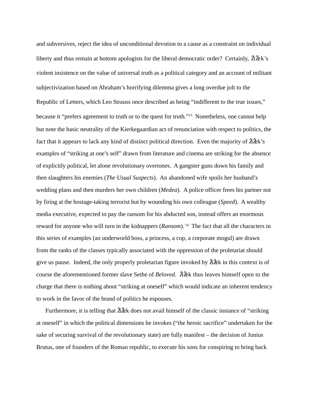and subversives, reject the idea of unconditional devotion to a cause as a constraint on individual liberty and thus remain at bottom apologists for the liberal democratic order? Certainly,  $\check{Z} \check{Z}$ ek's violent insistence on the value of universal truth as a political category and an account of militant subjectivization based on Abraham's horrifying dilemma gives a long overdue jolt to the Republic of Letters, which Leo Strauss once described as being "indifferent to the true issues," because it "prefers agreement to truth or to the quest for truth."13 Nonetheless, one cannot help but note the basic neutrality of the Kierkegaardian act of renunciation with respect to politics, the fact that it appears to lack any kind of distinct political direction. Even the majority of  $\tilde{\mathbf{Z}}\tilde{\mathbf{Z}}\tilde{\mathbf{k}}$ 's examples of "striking at one's self" drawn from literature and cinema are striking for the absence of explicitly political, let alone revolutionary overtones. A gangster guns down his family and then slaughters his enemies (*The Usual Suspects*). An abandoned wife spoils her husband's wedding plans and then murders her own children (*Medea*). A police officer frees his partner not by firing at the hostage-taking terrorist but by wounding his own colleague (*Speed*). A wealthy media executive, expected to pay the ransom for his abducted son, instead offers an enormous reward for anyone who will turn in the kidnappers (*Ransom*). 14 The fact that all the characters in this series of examples (an underworld boss, a princess, a cop, a corporate mogul) are drawn from the ranks of the classes typically associated with the oppression of the proletariat should give us pause. Indeed, the only properly proletarian figure invoked by  $\tilde{\mathbf{Z}}$  are in this context is of course the aforementioned former slave Sethe of *Beloved*. ŽiŽek thus leaves himself open to the charge that there is nothing about "striking at oneself" which would indicate an inherent tendency to work in the favor of the brand of politics he espouses.

Furthermore, it is telling that  $\tilde{\mathbf{Z}}$  and  $\tilde{\mathbf{Z}}$  does not avail himself of the classic instance of "striking" at oneself" in which the political dimensions he invokes ("the heroic sacrifice" undertaken for the sake of securing survival of the revolutionary state) are fully manifest – the decision of Junius Brutus, one of founders of the Roman republic, to execute his sons for conspiring to bring back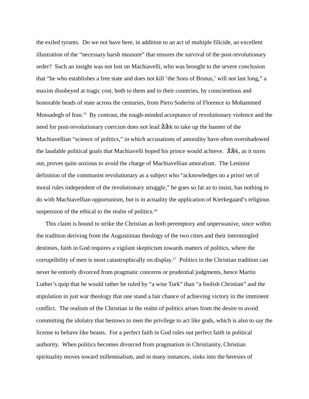the exiled tyrants. Do we not have here, in addition to an act of multiple filicide, an excellent illustration of the "necessary harsh measure" that ensures the survival of the post-revolutionary order? Such an insight was not lost on Machiavelli, who was brought to the severe conclusion that "he who establishes a free state and does not kill 'the Sons of Brutus,' will not last long," a maxim disobeyed at tragic cost, both to them and to their countries, by conscientious and honorable heads of state across the centuries, from Piero Soderini of Florence to Mohammed Mossadegh of Iran.<sup>15</sup> By contrast, the tough-minded acceptance of revolutionary violence and the need for post-revolutionary coercion does not lead  $\tilde{Z}$  and the banner of the Machiavellian "science of politics," in which accusations of amorality have often overshadowed the laudable political goals that Machiavelli hoped his prince would achieve.  $\check{\mathbf{Z}}$ &k, as it turns out, proves quite anxious to avoid the charge of Machiavellian amoralism. The Leninist definition of the communist revolutionary as a subject who "acknowledges no a priori set of moral rules independent of the revolutionary struggle," he goes so far as to insist, has nothing to do with Machiavellian opportunism, but is in actuality the application of Kierkegaard's religious suspension of the ethical to the realm of politics.<sup>16</sup>

This claim is bound to strike the Christian as both peremptory and unpersuasive, since within the tradition deriving from the Augustinian theology of the two cities and their intermingled destinies, faith in God requires a vigilant skepticism towards matters of politics, where the corruptibility of men is most catastrophically on display.17 Politics in the Christian tradition can never be entirely divorced from pragmatic concerns or prudential judgments, hence Martin Luther's quip that he would rather be ruled by "a wise Turk" than "a foolish Christian" and the stipulation in just war theology that one stand a fair chance of achieving victory in the imminent conflict. The realism of the Christian in the realm of politics arises from the desire to avoid committing the idolatry that bestows to men the privilege to act like gods, which is also to say the license to behave like beasts. For a perfect faith in God rules out perfect faith in political authority. When politics becomes divorced from pragmatism in Christianity, Christian spirituality moves toward millennialism, and in many instances, sinks into the heresies of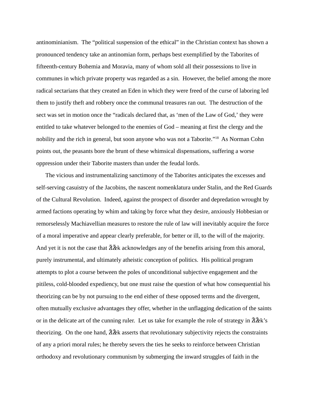antinominianism. The "political suspension of the ethical" in the Christian context has shown a pronounced tendency take an antinomian form, perhaps best exemplified by the Taborites of fifteenth-century Bohemia and Moravia, many of whom sold all their possessions to live in communes in which private property was regarded as a sin. However, the belief among the more radical sectarians that they created an Eden in which they were freed of the curse of laboring led them to justify theft and robbery once the communal treasures ran out. The destruction of the sect was set in motion once the "radicals declared that, as 'men of the Law of God,' they were entitled to take whatever belonged to the enemies of God – meaning at first the clergy and the nobility and the rich in general, but soon anyone who was not a Taborite."18 As Norman Cohn points out, the peasants bore the brunt of these whimsical dispensations, suffering a worse oppression under their Taborite masters than under the feudal lords.

The vicious and instrumentalizing sanctimony of the Taborites anticipates the excesses and self-serving casuistry of the Jacobins, the nascent nomenklatura under Stalin, and the Red Guards of the Cultural Revolution. Indeed, against the prospect of disorder and depredation wrought by armed factions operating by whim and taking by force what they desire, anxiously Hobbesian or remorselessly Machiavellian measures to restore the rule of law will inevitably acquire the force of a moral imperative and appear clearly preferable, for better or ill, to the will of the majority. And yet it is not the case that  $\tilde{\mathbf{Z}}$  acknowledges any of the benefits arising from this amoral, purely instrumental, and ultimately atheistic conception of politics. His political program attempts to plot a course between the poles of unconditional subjective engagement and the pitiless, cold-blooded expediency, but one must raise the question of what how consequential his theorizing can be by not pursuing to the end either of these opposed terms and the divergent, often mutually exclusive advantages they offer, whether in the unflagging dedication of the saints or in the delicate art of the cunning ruler. Let us take for example the role of strategy in  $\check{Z} \check{Z}$ k's theorizing. On the one hand,  $\check{\mathbf{Z}}\check{\mathbf{Z}}\check{\mathbf{k}}$  asserts that revolutionary subjectivity rejects the constraints of any a priori moral rules; he thereby severs the ties he seeks to reinforce between Christian orthodoxy and revolutionary communism by submerging the inward struggles of faith in the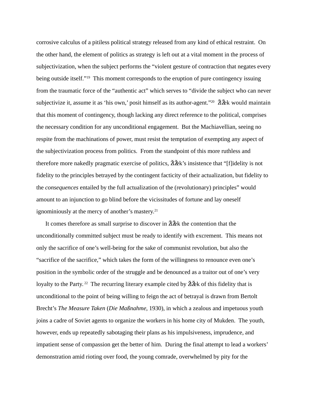corrosive calculus of a pitiless political strategy released from any kind of ethical restraint. On the other hand, the element of politics as strategy is left out at a vital moment in the process of subjectivization, when the subject performs the "violent gesture of contraction that negates every being outside itself."<sup>19</sup> This moment corresponds to the eruption of pure contingency issuing from the traumatic force of the "authentic act" which serves to "divide the subject who can never subjectivize it, assume it as 'his own,' posit himself as its author-agent."<sup>20</sup>  $\check{Z}$  $\check{Z}$ ek would maintain that this moment of contingency, though lacking any direct reference to the political, comprises the necessary condition for any unconditional engagement. But the Machiavellian, seeing no respite from the machinations of power, must resist the temptation of exempting any aspect of the subjectivization process from politics. From the standpoint of this more ruthless and therefore more nakedly pragmatic exercise of politics,  $\tilde{\mathbf{Z}}\tilde{\mathbf{Z}}\tilde{\mathbf{K}}$ 's insistence that "[f]idelity is not fidelity to the principles betrayed by the contingent facticity of their actualization, but fidelity to the *consequences* entailed by the full actualization of the (revolutionary) principles" would amount to an injunction to go blind before the vicissitudes of fortune and lay oneself ignominiously at the mercy of another's mastery.<sup>21</sup>

It comes therefore as small surprise to discover in ŽiŽek the contention that the unconditionally committed subject must be ready to identify with excrement. This means not only the sacrifice of one's well-being for the sake of communist revolution, but also the "sacrifice of the sacrifice," which takes the form of the willingness to renounce even one's position in the symbolic order of the struggle and be denounced as a traitor out of one's very loyalty to the Party.<sup>22</sup> The recurring literary example cited by  $\tilde{\mathbf{Z}}$  dex of this fidelity that is unconditional to the point of being willing to feign the act of betrayal is drawn from Bertolt Brecht's *The Measure Taken* (*Die Maßnahme*, 1930), in which a zealous and impetuous youth joins a cadre of Soviet agents to organize the workers in his home city of Mukden. The youth, however, ends up repeatedly sabotaging their plans as his impulsiveness, imprudence, and impatient sense of compassion get the better of him. During the final attempt to lead a workers' demonstration amid rioting over food, the young comrade, overwhelmed by pity for the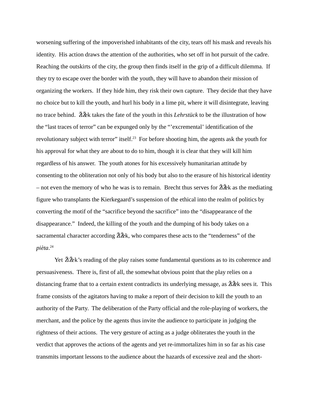worsening suffering of the impoverished inhabitants of the city, tears off his mask and reveals his identity. His action draws the attention of the authorities, who set off in hot pursuit of the cadre. Reaching the outskirts of the city, the group then finds itself in the grip of a difficult dilemma. If they try to escape over the border with the youth, they will have to abandon their mission of organizing the workers. If they hide him, they risk their own capture. They decide that they have no choice but to kill the youth, and hurl his body in a lime pit, where it will disintegrate, leaving no trace behind. ŽiŽek takes the fate of the youth in this *Lehrstück* to be the illustration of how the "last traces of terror" can be expunged only by the "'excremental' identification of the revolutionary subject with terror" itself.<sup>23</sup> For before shooting him, the agents ask the youth for his approval for what they are about to do to him, though it is clear that they will kill him regardless of his answer. The youth atones for his excessively humanitarian attitude by consenting to the obliteration not only of his body but also to the erasure of his historical identity – not even the memory of who he was is to remain. Brecht thus serves for  $\check{\mathbf{Z}}$  as the mediating figure who transplants the Kierkegaard's suspension of the ethical into the realm of politics by converting the motif of the "sacrifice beyond the sacrifice" into the "disappearance of the disappearance." Indeed, the killing of the youth and the dumping of his body takes on a sacramental character according  $\tilde{\mathbf{Z}}$   $\tilde{\mathbf{Z}}$  k, who compares these acts to the "tenderness" of the *pièta*. 24

Yet  $\check{\mathbf{Z}}\check{\mathbf{Z}}$ k's reading of the play raises some fundamental questions as to its coherence and persuasiveness. There is, first of all, the somewhat obvious point that the play relies on a distancing frame that to a certain extent contradicts its underlying message, as  $\tilde{\mathbf{Z}}$  & sees it. This frame consists of the agitators having to make a report of their decision to kill the youth to an authority of the Party. The deliberation of the Party official and the role-playing of workers, the merchant, and the police by the agents thus invite the audience to participate in judging the rightness of their actions. The very gesture of acting as a judge obliterates the youth in the verdict that approves the actions of the agents and yet re-immortalizes him in so far as his case transmits important lessons to the audience about the hazards of excessive zeal and the short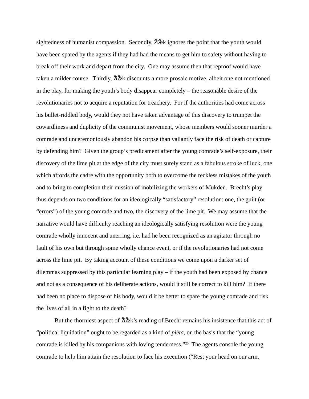sightedness of humanist compassion. Secondly,  $\tilde{\mathbf{Z}}$  and  $\tilde{\mathbf{Z}}$  ignores the point that the youth would have been spared by the agents if they had had the means to get him to safety without having to break off their work and depart from the city. One may assume then that reproof would have taken a milder course. Thirdly,  $\mathbb{Z} \times \mathbb{Z}$  discounts a more prosaic motive, albeit one not mentioned in the play, for making the youth's body disappear completely – the reasonable desire of the revolutionaries not to acquire a reputation for treachery. For if the authorities had come across his bullet-riddled body, would they not have taken advantage of this discovery to trumpet the cowardliness and duplicity of the communist movement, whose members would sooner murder a comrade and unceremoniously abandon his corpse than valiantly face the risk of death or capture by defending him? Given the group's predicament after the young comrade's self-exposure, their discovery of the lime pit at the edge of the city must surely stand as a fabulous stroke of luck, one which affords the cadre with the opportunity both to overcome the reckless mistakes of the youth and to bring to completion their mission of mobilizing the workers of Mukden. Brecht's play thus depends on two conditions for an ideologically "satisfactory" resolution: one, the guilt (or "errors") of the young comrade and two, the discovery of the lime pit. We may assume that the narrative would have difficulty reaching an ideologically satisfying resolution were the young comrade wholly innocent and unerring, i.e. had he been recognized as an agitator through no fault of his own but through some wholly chance event, or if the revolutionaries had not come across the lime pit. By taking account of these conditions we come upon a darker set of dilemmas suppressed by this particular learning play – if the youth had been exposed by chance and not as a consequence of his deliberate actions, would it still be correct to kill him? If there had been no place to dispose of his body, would it be better to spare the young comrade and risk the lives of all in a fight to the death?

But the thorniest aspect of  $\check{\mathbf{Z}}\check{\mathbf{Z}}\check{\mathbf{K}}$ 's reading of Brecht remains his insistence that this act of "political liquidation" ought to be regarded as a kind of *pièta*, on the basis that the "young comrade is killed by his companions with loving tenderness."25 The agents console the young comrade to help him attain the resolution to face his execution ("Rest your head on our arm.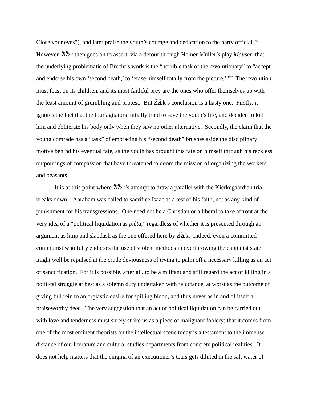Close your eyes"), and later praise the youth's courage and dedication to the party official.<sup>26</sup> However, ŽiŽek then goes on to assert, via a detour through Heiner Müller's play *Mauser*, that the underlying problematic of Brecht's work is the "horrible task of the revolutionary" to "accept and endorse his own 'second death,' to 'erase himself totally from the picture.'"<sup>27</sup> The revolution must feast on its children, and its most faithful prey are the ones who offer themselves up with the least amount of grumbling and protest. But  $\check{\mathbf{Z}}\check{\mathbf{Z}}\check{\mathbf{K}}$ 's conclusion is a hasty one. Firstly, it ignores the fact that the four agitators initially tried to save the youth's life, and decided to kill him and obliterate his body only when they saw no other alternative. Secondly, the claim that the young comrade has a "task" of embracing his "second death" brushes aside the disciplinary motive behind his eventual fate, as the youth has brought this fate on himself through his reckless outpourings of compassion that have threatened to doom the mission of organizing the workers and peasants.

It is at this point where  $\check{\mathbf{Z}}\check{\mathbf{Z}}\check{\mathbf{K}}$ 's attempt to draw a parallel with the Kierkegaardian trial breaks down – Abraham was called to sacrifice Isaac as a test of his faith, not as any kind of punishment for his transgressions. One need not be a Christian or a liberal to take affront at the very idea of a "political liquidation as *pièta*," regardless of whether it is presented through an argument as limp and slapdash as the one offered here by  $\check{\mathbf{Z}}\check{\mathbf{Z}}$ ek. Indeed, even a committed communist who fully endorses the use of violent methods in overthrowing the capitalist state might well be repulsed at the crude deviousness of trying to palm off a necessary killing as an act of sanctification. For it is possible, after all, to be a militant and still regard the act of killing in a political struggle at best as a solemn duty undertaken with reluctance, at worst as the outcome of giving full rein to an orgiastic desire for spilling blood, and thus never as in and of itself a praiseworthy deed. The very suggestion that an act of political liquidation can be carried out with love and tenderness must surely strike us as a piece of malignant foolery; that it comes from one of the most eminent theorists on the intellectual scene today is a testament to the immense distance of our literature and cultural studies departments from concrete political realities. It does not help matters that the enigma of an executioner's tears gets diluted in the salt water of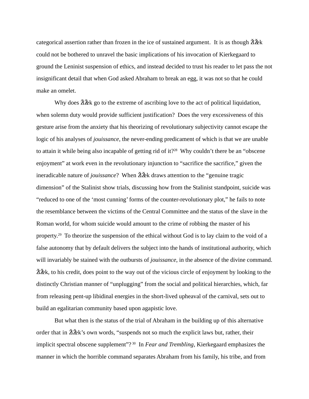categorical assertion rather than frozen in the ice of sustained argument. It is as though  $\tilde{Z}$ &k could not be bothered to unravel the basic implications of his invocation of Kierkegaard to ground the Leninist suspension of ethics, and instead decided to trust his reader to let pass the not insignificant detail that when God asked Abraham to break an egg, it was not so that he could make an omelet.

Why does  $\check{\mathbf{Z}}\check{\mathbf{Z}}$  go to the extreme of ascribing love to the act of political liquidation, when solemn duty would provide sufficient justification? Does the very excessiveness of this gesture arise from the anxiety that his theorizing of revolutionary subjectivity cannot escape the logic of his analyses of *jouissance*, the never-ending predicament of which is that we are unable to attain it while being also incapable of getting rid of it?<sup>28</sup> Why couldn't there be an "obscene" enjoyment" at work even in the revolutionary injunction to "sacrifice the sacrifice," given the ineradicable nature of *jouissance*? When  $\tilde{\mathbf{Z}}$  & draws attention to the "genuine tragic dimension" of the Stalinist show trials, discussing how from the Stalinist standpoint, suicide was "reduced to one of the 'most cunning' forms of the counter-revolutionary plot," he fails to note the resemblance between the victims of the Central Committee and the status of the slave in the Roman world, for whom suicide would amount to the crime of robbing the master of his property.<sup>29</sup> To theorize the suspension of the ethical without God is to lay claim to the void of a false autonomy that by default delivers the subject into the hands of institutional authority, which will invariably be stained with the outbursts of *jouissance*, in the absence of the divine command.  $\Delta \geq$   $\Delta \geq$  k, to his credit, does point to the way out of the vicious circle of enjoyment by looking to the distinctly Christian manner of "unplugging" from the social and political hierarchies, which, far from releasing pent-up libidinal energies in the short-lived upheaval of the carnival, sets out to build an egalitarian community based upon agapistic love.

But what then is the status of the trial of Abraham in the building up of this alternative order that in  $\check{\mathbf{Z}}\check{\mathbf{Z}}\check{\mathbf{k}}$ 's own words, "suspends not so much the explicit laws but, rather, their implicit spectral obscene supplement"?<sup>30</sup> In *Fear and Trembling*, Kierkegaard emphasizes the manner in which the horrible command separates Abraham from his family, his tribe, and from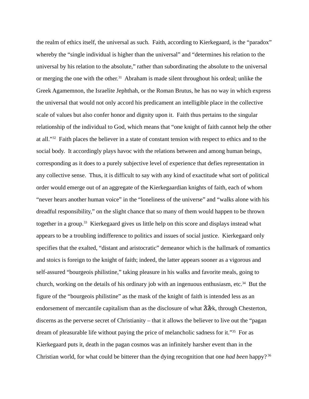the realm of ethics itself, the universal as such. Faith, according to Kierkegaard, is the "paradox" whereby the "single individual is higher than the universal" and "determines his relation to the universal by his relation to the absolute," rather than subordinating the absolute to the universal or merging the one with the other.<sup>31</sup> Abraham is made silent throughout his ordeal; unlike the Greek Agamemnon, the Israelite Jephthah, or the Roman Brutus, he has no way in which express the universal that would not only accord his predicament an intelligible place in the collective scale of values but also confer honor and dignity upon it. Faith thus pertains to the singular relationship of the individual to God, which means that "one knight of faith cannot help the other at all."32 Faith places the believer in a state of constant tension with respect to ethics and to the social body. It accordingly plays havoc with the relations between and among human beings, corresponding as it does to a purely subjective level of experience that defies representation in any collective sense. Thus, it is difficult to say with any kind of exactitude what sort of political order would emerge out of an aggregate of the Kierkegaardian knights of faith, each of whom "never hears another human voice" in the "loneliness of the universe" and "walks alone with his dreadful responsibility," on the slight chance that so many of them would happen to be thrown together in a group.<sup>33</sup> Kierkegaard gives us little help on this score and displays instead what appears to be a troubling indifference to politics and issues of social justice. Kierkegaard only specifies that the exalted, "distant and aristocratic" demeanor which is the hallmark of romantics and stoics is foreign to the knight of faith; indeed, the latter appears sooner as a vigorous and self-assured "bourgeois philistine," taking pleasure in his walks and favorite meals, going to church, working on the details of his ordinary job with an ingenuous enthusiasm, etc.<sup>34</sup> But the figure of the "bourgeois philistine" as the mask of the knight of faith is intended less as an endorsement of mercantile capitalism than as the disclosure of what  $\tilde{\mathbf{Z}}\tilde{\mathbf{Z}}$ k, through Chesterton, discerns as the perverse secret of Christianity – that it allows the believer to live out the "pagan dream of pleasurable life without paying the price of melancholic sadness for it."35 For as Kierkegaard puts it, death in the pagan cosmos was an infinitely harsher event than in the Christian world, for what could be bitterer than the dying recognition that one *had been* happy? 36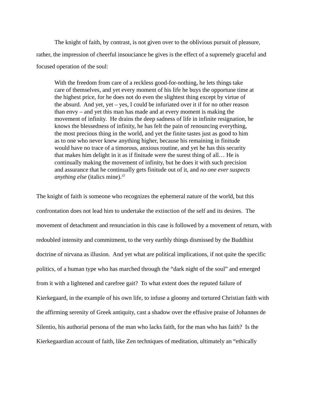The knight of faith, by contrast, is not given over to the oblivious pursuit of pleasure, rather, the impression of cheerful insouciance he gives is the effect of a supremely graceful and focused operation of the soul:

With the freedom from care of a reckless good-for-nothing, he lets things take care of themselves, and yet every moment of his life he buys the opportune time at the highest price, for he does not do even the slightest thing except by virtue of the absurd. And yet, yet – yes, I could be infuriated over it if for no other reason than envy – and yet this man has made and at every moment is making the movement of infinity. He drains the deep sadness of life in infinite resignation, he knows the blessedness of infinity, he has felt the pain of renouncing everything, the most precious thing in the world, and yet the finite tastes just as good to him as to one who never knew anything higher, because his remaining in finitude would have no trace of a timorous, anxious routine, and yet he has this security that makes him delight in it as if finitude were the surest thing of all… He is continually making the movement of infinity, but he does it with such precision and assurance that he continually gets finitude out of it, and *no one ever suspects anything else* (italics mine).37

The knight of faith is someone who recognizes the ephemeral nature of the world, but this confrontation does not lead him to undertake the extinction of the self and its desires. The movement of detachment and renunciation in this case is followed by a movement of return, with redoubled intensity and commitment, to the very earthly things dismissed by the Buddhist doctrine of nirvana as illusion. And yet what are political implications, if not quite the specific politics, of a human type who has marched through the "dark night of the soul" and emerged from it with a lightened and carefree gait? To what extent does the reputed failure of Kierkegaard, in the example of his own life, to infuse a gloomy and tortured Christian faith with the affirming serenity of Greek antiquity, cast a shadow over the effusive praise of Johannes de Silentio, his authorial persona of the man who lacks faith, for the man who has faith? Is the Kierkegaardian account of faith, like Zen techniques of meditation, ultimately an "ethically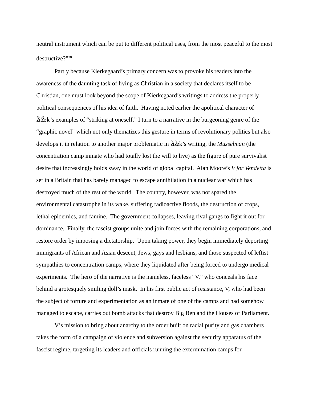neutral instrument which can be put to different political uses, from the most peaceful to the most destructive?"38

Partly because Kierkegaard's primary concern was to provoke his readers into the awareness of the daunting task of living as Christian in a society that declares itself to be Christian, one must look beyond the scope of Kierkegaard's writings to address the properly political consequences of his idea of faith. Having noted earlier the apolitical character of  $\Delta \geq$   $\Delta$   $\geq$   $\Delta$   $\geq$   $\Delta$   $\geq$   $\Delta$   $\geq$   $\Delta$   $\geq$   $\Delta$   $\geq$   $\Delta$   $\geq$   $\Delta$   $\geq$   $\Delta$   $\geq$   $\Delta$   $\geq$   $\Delta$   $\geq$   $\Delta$   $\geq$   $\Delta$   $\geq$   $\Delta$   $\geq$   $\Delta$   $\geq$   $\Delta$   $\geq$   $\Delta$   $\geq$   $\Delta$   $\geq$   $\Delta$   $\geq$   $\Delta$ "graphic novel" which not only thematizes this gesture in terms of revolutionary politics but also develops it in relation to another major problematic in ŽiŽek's writing, the *Musselman* (the concentration camp inmate who had totally lost the will to live) as the figure of pure survivalist desire that increasingly holds sway in the world of global capital. Alan Moore's *V for Vendetta* is set in a Britain that has barely managed to escape annihilation in a nuclear war which has destroyed much of the rest of the world. The country, however, was not spared the environmental catastrophe in its wake, suffering radioactive floods, the destruction of crops, lethal epidemics, and famine. The government collapses, leaving rival gangs to fight it out for dominance. Finally, the fascist groups unite and join forces with the remaining corporations, and restore order by imposing a dictatorship. Upon taking power, they begin immediately deporting immigrants of African and Asian descent, Jews, gays and lesbians, and those suspected of leftist sympathies to concentration camps, where they liquidated after being forced to undergo medical experiments. The hero of the narrative is the nameless, faceless "V," who conceals his face behind a grotesquely smiling doll's mask. In his first public act of resistance, V, who had been the subject of torture and experimentation as an inmate of one of the camps and had somehow managed to escape, carries out bomb attacks that destroy Big Ben and the Houses of Parliament.

V's mission to bring about anarchy to the order built on racial purity and gas chambers takes the form of a campaign of violence and subversion against the security apparatus of the fascist regime, targeting its leaders and officials running the extermination camps for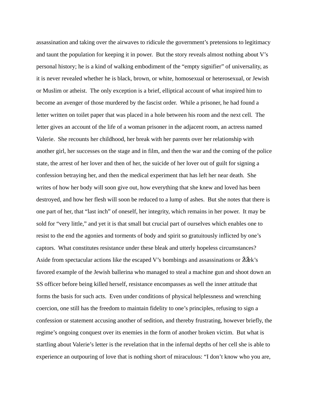assassination and taking over the airwaves to ridicule the government's pretensions to legitimacy and taunt the population for keeping it in power. But the story reveals almost nothing about V's personal history; he is a kind of walking embodiment of the "empty signifier" of universality, as it is never revealed whether he is black, brown, or white, homosexual or heterosexual, or Jewish or Muslim or atheist. The only exception is a brief, elliptical account of what inspired him to become an avenger of those murdered by the fascist order. While a prisoner, he had found a letter written on toilet paper that was placed in a hole between his room and the next cell. The letter gives an account of the life of a woman prisoner in the adjacent room, an actress named Valerie. She recounts her childhood, her break with her parents over her relationship with another girl, her successes on the stage and in film, and then the war and the coming of the police state, the arrest of her lover and then of her, the suicide of her lover out of guilt for signing a confession betraying her, and then the medical experiment that has left her near death. She writes of how her body will soon give out, how everything that she knew and loved has been destroyed, and how her flesh will soon be reduced to a lump of ashes. But she notes that there is one part of her, that "last inch" of oneself, her integrity, which remains in her power. It may be sold for "very little," and yet it is that small but crucial part of ourselves which enables one to resist to the end the agonies and torments of body and spirit so gratuitously inflicted by one's captors. What constitutes resistance under these bleak and utterly hopeless circumstances? Aside from spectacular actions like the escaped V's bombings and assassinations or  $\mathbf{Z} \times \mathbf{Z}$  is favored example of the Jewish ballerina who managed to steal a machine gun and shoot down an SS officer before being killed herself, resistance encompasses as well the inner attitude that forms the basis for such acts. Even under conditions of physical helplessness and wrenching coercion, one still has the freedom to maintain fidelity to one's principles, refusing to sign a confession or statement accusing another of sedition, and thereby frustrating, however briefly, the regime's ongoing conquest over its enemies in the form of another broken victim. But what is startling about Valerie's letter is the revelation that in the infernal depths of her cell she is able to experience an outpouring of love that is nothing short of miraculous: "I don't know who you are,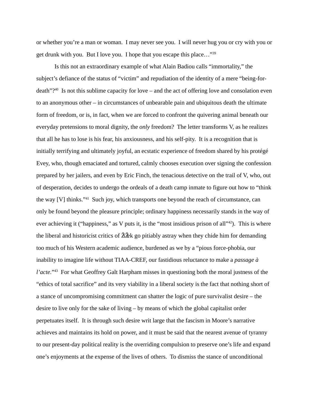or whether you're a man or woman. I may never see you. I will never hug you or cry with you or get drunk with you. But I love you. I hope that you escape this place…"39

Is this not an extraordinary example of what Alain Badiou calls "immortality," the subject's defiance of the status of "victim" and repudiation of the identity of a mere "being-fordeath"?40 Is not this sublime capacity for love – and the act of offering love and consolation even to an anonymous other – in circumstances of unbearable pain and ubiquitous death the ultimate form of freedom, or is, in fact, when we are forced to confront the quivering animal beneath our everyday pretensions to moral dignity, the *only* freedom? The letter transforms V, as he realizes that all he has to lose is his fear, his anxiousness, and his self-pity. It is a recognition that is initially terrifying and ultimately joyful, an ecstatic experience of freedom shared by his protégé Evey, who, though emaciated and tortured, calmly chooses execution over signing the confession prepared by her jailers, and even by Eric Finch, the tenacious detective on the trail of V, who, out of desperation, decides to undergo the ordeals of a death camp inmate to figure out how to "think the way [V] thinks."41 Such joy, which transports one beyond the reach of circumstance, can only be found beyond the pleasure principle; ordinary happiness necessarily stands in the way of ever achieving it ("happiness," as V puts it, is the "most insidious prison of all"<sup>42</sup>). This is where the liberal and historicist critics of  $\lambda \times \lambda$  go pitiably astray when they chide him for demanding too much of his Western academic audience, burdened as we by a "pious force-phobia, our inability to imagine life without TIAA-CREF, our fastidious reluctance to make a *passage à l'acte*."43 For what Geoffrey Galt Harpham misses in questioning both the moral justness of the "ethics of total sacrifice" and its very viability in a liberal society is the fact that nothing short of a stance of uncompromising commitment can shatter the logic of pure survivalist desire – the desire to live only for the sake of living – by means of which the global capitalist order perpetuates itself. It is through such desire writ large that the fascism in Moore's narrative achieves and maintains its hold on power, and it must be said that the nearest avenue of tyranny to our present-day political reality is the overriding compulsion to preserve one's life and expand one's enjoyments at the expense of the lives of others. To dismiss the stance of unconditional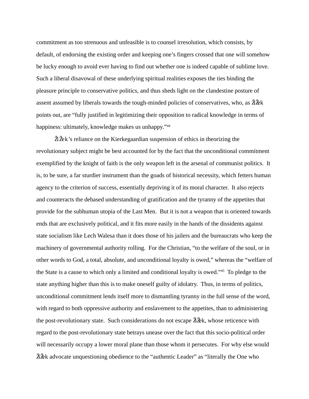commitment as too strenuous and unfeasible is to counsel irresolution, which consists, by default, of endorsing the existing order and keeping one's fingers crossed that one will somehow be lucky enough to avoid ever having to find out whether one is indeed capable of sublime love. Such a liberal disavowal of these underlying spiritual realities exposes the ties binding the pleasure principle to conservative politics, and thus sheds light on the clandestine posture of assent assumed by liberals towards the tough-minded policies of conservatives, who, as  $\check{\mathbf{Z}}$ points out, are "fully justified in legitimizing their opposition to radical knowledge in terms of happiness: ultimately, knowledge makes us unhappy."<sup>44</sup>

 $\Delta \zeta$  is reliance on the Kierkegaardian suspension of ethics in theorizing the revolutionary subject might be best accounted for by the fact that the unconditional commitment exemplified by the knight of faith is the only weapon left in the arsenal of communist politics. It is, to be sure, a far sturdier instrument than the goads of historical necessity, which fetters human agency to the criterion of success, essentially depriving it of its moral character. It also rejects and counteracts the debased understanding of gratification and the tyranny of the appetites that provide for the subhuman utopia of the Last Men. But it is not a weapon that is oriented towards ends that are exclusively political, and it fits more easily in the hands of the dissidents against state socialism like Lech Walesa than it does those of his jailers and the bureaucrats who keep the machinery of governmental authority rolling. For the Christian, "to the welfare of the soul, or in other words to God, a total, absolute, and unconditional loyalty is owed," whereas the "welfare of the State is a cause to which only a limited and conditional loyalty is owed."45 To pledge to the state anything higher than this is to make oneself guilty of idolatry. Thus, in terms of politics, unconditional commitment lends itself more to dismantling tyranny in the full sense of the word, with regard to both oppressive authority and enslavement to the appetites, than to administering the post-revolutionary state. Such considerations do not escape  $\check{\gamma}$  & k, whose reticence with regard to the post-revolutionary state betrays unease over the fact that this socio-political order will necessarily occupy a lower moral plane than those whom it persecutes. For why else would ŽiŽek advocate unquestioning obedience to the "authentic Leader" as "literally the One who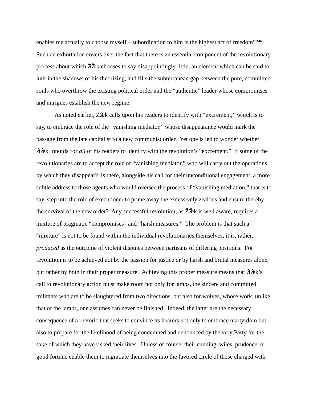enables me actually to choose myself – subordination to him is the highest act of freedom"?<sup>46</sup> Such an exhortation covers over the fact that there is an essential component of the revolutionary process about which  $\tilde{\mathbf{Z}}$   $\tilde{\mathbf{Z}}$  chooses to say disappointingly little, an element which can be said to lurk in the shadows of his theorizing, and fills the subterranean gap between the pure, committed souls who overthrow the existing political order and the "authentic" leader whose compromises and intrigues establish the new regime.

As noted earlier,  $\Delta \times \mathbb{Z}$  calls upon his readers to identify with "excrement," which is to say, to embrace the role of the "vanishing mediator," whose disappearance would mark the passage from the late capitalist to a new communist order. Yet one is led to wonder whether ŽiŽek intends for *all* of his readers to identify with the revolution's "excrement." If some of the revolutionaries are to accept the role of "vanishing mediator," who will carry out the operations by which they disappear? Is there, alongside his call for their unconditional engagement, a more subtle address to those agents who would oversee the process of "vanishing mediation," that is to say, step into the role of executioner to prune away the excessively zealous and ensure thereby the survival of the new order? Any successful revolution, as  $\check{\mathbf{Z}}\check{\mathbf{Z}}\hat{\mathbf{K}}$  is well aware, requires a mixture of pragmatic "compromises" and "harsh measures." The problem is that such a "mixture" is not to be found within the individual revolutionaries themselves; it is, rather, *produced* as the outcome of violent disputes between partisans of differing positions. For revolution is to be achieved not by the passion for justice or by harsh and brutal measures alone, but rather by both in their proper measure. Achieving this proper measure means that  $\mathbf{\tilde{Z}}\mathbf{\tilde{\&}}k$ 's call to revolutionary action must make room not only for lambs, the sincere and committed militants who are to be slaughtered from two directions, but also for wolves, whose work, unlike that of the lambs, one assumes can never be finished. Indeed, the latter are the necessary consequence of a rhetoric that seeks to convince its hearers not only to embrace martyrdom but also to prepare for the likelihood of being condemned and denounced by the very Party for the sake of which they have risked their lives. Unless of course, their cunning, wiles, prudence, or good fortune enable them to ingratiate themselves into the favored circle of those charged with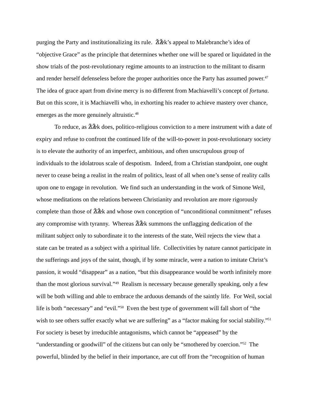purging the Party and institutionalizing its rule.  $\check{\mathbf{Z}}\check{\mathbf{Z}}\check{\mathbf{K}}$ 's appeal to Malebranche's idea of "objective Grace" as the principle that determines whether one will be spared or liquidated in the show trials of the post-revolutionary regime amounts to an instruction to the militant to disarm and render herself defenseless before the proper authorities once the Party has assumed power.<sup>47</sup> The idea of grace apart from divine mercy is no different from Machiavelli's concept of *fortuna*. But on this score, it is Machiavelli who, in exhorting his reader to achieve mastery over chance, emerges as the more genuinely altruistic.<sup>48</sup>

To reduce, as  $\Delta \zeta$  does, politico-religious conviction to a mere instrument with a date of expiry and refuse to confront the continued life of the will-to-power in post-revolutionary society is to elevate the authority of an imperfect, ambitious, and often unscrupulous group of individuals to the idolatrous scale of despotism. Indeed, from a Christian standpoint, one ought never to cease being a realist in the realm of politics, least of all when one's sense of reality calls upon one to engage in revolution. We find such an understanding in the work of Simone Weil, whose meditations on the relations between Christianity and revolution are more rigorously complete than those of  $\tilde{\mathbf{Z}}$  and whose own conception of "unconditional commitment" refuses any compromise with tyranny. Whereas  $\tilde{\mathbf{Z}}$  and  $\tilde{\mathbf{Z}}$  summons the unflagging dedication of the militant subject only to subordinate it to the interests of the state, Weil rejects the view that a state can be treated as a subject with a spiritual life. Collectivities by nature cannot participate in the sufferings and joys of the saint, though, if by some miracle, were a nation to imitate Christ's passion, it would "disappear" as a nation, "but this disappearance would be worth infinitely more than the most glorious survival."49 Realism is necessary because generally speaking, only a few will be both willing and able to embrace the arduous demands of the saintly life. For Weil, social life is both "necessary" and "evil."<sup>50</sup> Even the best type of government will fall short of "the wish to see others suffer exactly what we are suffering" as a "factor making for social stability."<sup>51</sup> For society is beset by irreducible antagonisms, which cannot be "appeased" by the "understanding or goodwill" of the citizens but can only be "smothered by coercion."52 The powerful, blinded by the belief in their importance, are cut off from the "recognition of human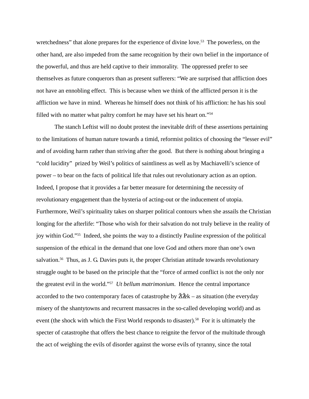wretchedness" that alone prepares for the experience of divine love.<sup>53</sup> The powerless, on the other hand, are also impeded from the same recognition by their own belief in the importance of the powerful, and thus are held captive to their immorality. The oppressed prefer to see themselves as future conquerors than as present sufferers: "We are surprised that affliction does not have an ennobling effect. This is because when we think of the afflicted person it is the affliction we have in mind. Whereas he himself does not think of his affliction: he has his soul filled with no matter what paltry comfort he may have set his heart on."54

The stanch Leftist will no doubt protest the inevitable drift of these assertions pertaining to the limitations of human nature towards a timid, reformist politics of choosing the "lesser evil" and of avoiding harm rather than striving after the good. But there is nothing about bringing a "cold lucidity" prized by Weil's politics of saintliness as well as by Machiavelli's science of power – to bear on the facts of political life that rules out revolutionary action as an option. Indeed, I propose that it provides a far better measure for determining the necessity of revolutionary engagement than the hysteria of acting-out or the inducement of utopia. Furthermore, Weil's spirituality takes on sharper political contours when she assails the Christian longing for the afterlife: "Those who wish for their salvation do not truly believe in the reality of joy within God."55 Indeed, she points the way to a distinctly Pauline expression of the political suspension of the ethical in the demand that one love God and others more than one's own salvation.<sup>56</sup> Thus, as J. G. Davies puts it, the proper Christian attitude towards revolutionary struggle ought to be based on the principle that the "force of armed conflict is not the only nor the greatest evil in the world."57 *Ut bellum matrimonium*. Hence the central importance accorded to the two contemporary faces of catastrophe by  $\tilde{\mathbf{Z}}\tilde{\mathbf{Z}}\tilde{\mathbf{K}}$  – as situation (the everyday misery of the shantytowns and recurrent massacres in the so-called developing world) and as event (the shock with which the First World responds to disaster).<sup>58</sup> For it is ultimately the specter of catastrophe that offers the best chance to reignite the fervor of the multitude through the act of weighing the evils of disorder against the worse evils of tyranny, since the total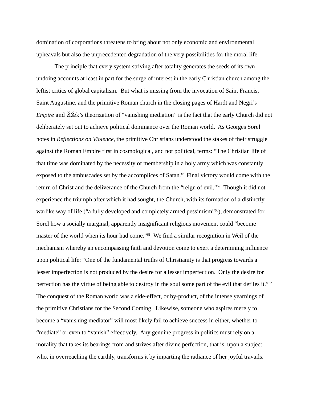domination of corporations threatens to bring about not only economic and environmental upheavals but also the unprecedented degradation of the very possibilities for the moral life.

The principle that every system striving after totality generates the seeds of its own undoing accounts at least in part for the surge of interest in the early Christian church among the leftist critics of global capitalism. But what is missing from the invocation of Saint Francis, Saint Augustine, and the primitive Roman church in the closing pages of Hardt and Negri's *Empire* and  $\Delta \times$ 's theorization of "vanishing mediation" is the fact that the early Church did not deliberately set out to achieve political dominance over the Roman world. As Georges Sorel notes in *Reflections on Violence*, the primitive Christians understood the stakes of their struggle against the Roman Empire first in cosmological, and not political, terms: "The Christian life of that time was dominated by the necessity of membership in a holy army which was constantly exposed to the ambuscades set by the accomplices of Satan." Final victory would come with the return of Christ and the deliverance of the Church from the "reign of evil."59 Though it did not experience the triumph after which it had sought, the Church, with its formation of a distinctly warlike way of life ("a fully developed and completely armed pessimism"<sup>60</sup>), demonstrated for Sorel how a socially marginal, apparently insignificant religious movement could "become master of the world when its hour had come."61 We find a similar recognition in Weil of the mechanism whereby an encompassing faith and devotion come to exert a determining influence upon political life: "One of the fundamental truths of Christianity is that progress towards a lesser imperfection is not produced by the desire for a lesser imperfection. Only the desire for perfection has the virtue of being able to destroy in the soul some part of the evil that defiles it."62 The conquest of the Roman world was a side-effect, or by-product, of the intense yearnings of the primitive Christians for the Second Coming. Likewise, someone who aspires merely to become a "vanishing mediator" will most likely fail to achieve success in either, whether to "mediate" or even to "vanish" effectively. Any genuine progress in politics must rely on a morality that takes its bearings from and strives after divine perfection, that is, upon a subject who, in overreaching the earthly, transforms it by imparting the radiance of her joyful travails.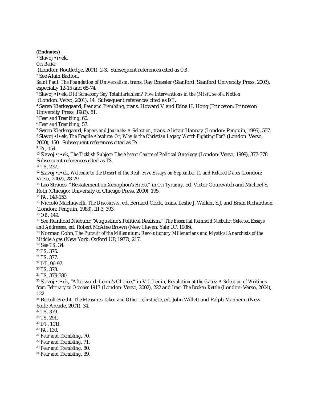**(Endnotes)**

1 Slavoj •i•ek,

*On Belief*

(London: Routledge, 2001), 2-3. Subsequent references cited as *OB*.

2 See Alain Badiou,

*Saint Paul: The Foundation of Universalism*, trans. Ray Brassier (Stanford: Stanford University Press, 2003), especially 12-15 and 65-74.

3 Slavoj •i•ek, *Did Somebody Say Totalitarianism? Five Interventions in the (Mis)Use of a Notion*

(London: Verso, 2001), 14. Subsequent references cited as *DT*.

4 Søren Kierkegaard, *Fear and Trembling*, trans. Howard V. and Edna H. Hong (Princeton: Princeton University Press, 1983), 81.

<sup>5</sup> *Fear and Trembling*, 60.

<sup>6</sup> *Fear and Trembling*, 57.

7 Søren Kierkegaard, *Papers and Journals: A Selection*, trans. Alistair Hannay (London: Penguin, 1996), 557. 8 Slavoj •i•ek, *The Fragile Absolute: Or, Why is the Christian Legacy Worth Fighting For?* (London: Verso,

2000), 150. Subsequent references cited as *FA*.

<sup>9</sup> *FA*, 154.

10 Slavoj •i•ek, *The Ticklish Subject: The Absent Centre of Political Ontology* (London: Verso, 1999), 377-378. Subsequent references cited as *TS*.

<sup>11</sup> *TS*, 237.

12 Slavoj •i•ek, *Welcome to the Desert of the Real! Five Essays on September 11 and Related Dates* (London: Verso, 2002), 28-29.

13 Leo Strauss, "Restatement on Xenophon's *Hiero*," in *On Tyranny*, ed. Victor Gourevitch and Michael S. Roth (Chicago: University of Chicago Press, 2000), 195.

<sup>14</sup> *FA*, 149-153.

15 Niccolò Machiavelli, *The Discourses*, ed. Bernard Crick, trans. Leslie J. Walker, S.J. and Brian Richardson (London: Penguin, 1983), III.3, 393.

<sup>16</sup> *OB*, 149.

17 See Reinhold Niebuhr, "Augustine's Political Realism," *The Essential Reinhold Niebuhr: Selected Essays and Addresses*, ed. Robert McAfee Brown (New Haven: Yale UP, 1986).

18 Norman Cohn, *The Pursuit of the Millennium: Revolutionary Millenarians and Mystical Anarchists of the Middle Ages* (New York: Oxford UP, 1977), 217.

19 See *TS*, 34.

<sup>20</sup> *TS*, 375.

<sup>21</sup> *TS*, 377.

<sup>22</sup> *DT*, 96-97.

<sup>23</sup> *TS*, 378.

<sup>24</sup> *TS*, 379-380.

25 Slavoj •i•ek*,* "Afterword: Lenin's Choice," in V. I. Lenin, *Revolution at the Gates: A Selection of Writings from February to October 1917* (London: Verso, 2002), 222 and *Iraq: The Broken Kettle* (London: Verso, 2004), 122.

26 Bertolt Brecht, *The Measures Taken and Other Lehrstücke*, ed. John Willett and Ralph Manheim (New York: Arcade, 2001), 34.

<sup>27</sup> *TS*, 379.

<sup>28</sup> *TS*, 291.

<sup>29</sup> *DT*, 101f.

<sup>30</sup> *FA*, 130.

<sup>31</sup> *Fear and Trembling*, 70.

<sup>32</sup> *Fear and Trembling*, 71.

<sup>33</sup> *Fear and Trembling*, 80.

<sup>34</sup> *Fear and Trembling*, 39.